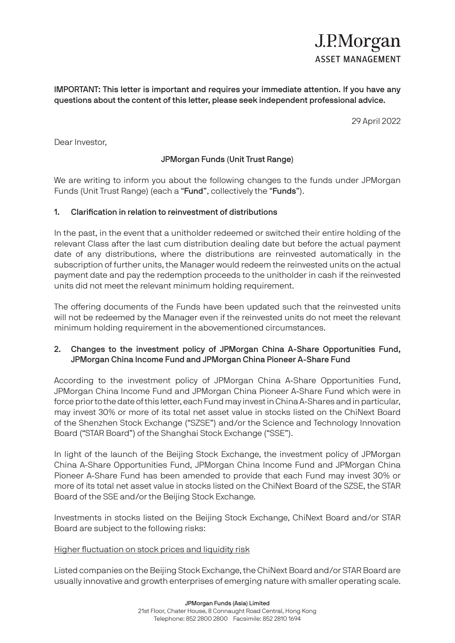# J.P.Morgan **ASSET MANAGEMENT**

IMPORTANT: This letter is important and requires your immediate attention. If you have any questions about the content of this letter, please seek independent professional advice.

29 April 2022

Dear Investor,

## JPMorgan Funds (Unit Trust Range)

We are writing to inform you about the following changes to the funds under JPMorgan Funds (Unit Trust Range) (each a "Fund", collectively the "Funds").

## 1. Clarification in relation to reinvestment of distributions

In the past, in the event that a unitholder redeemed or switched their entire holding of the relevant Class after the last cum distribution dealing date but before the actual payment date of any distributions, where the distributions are reinvested automatically in the subscription of further units, the Manager would redeem the reinvested units on the actual payment date and pay the redemption proceeds to the unitholder in cash if the reinvested units did not meet the relevant minimum holding requirement.

The offering documents of the Funds have been updated such that the reinvested units will not be redeemed by the Manager even if the reinvested units do not meet the relevant minimum holding requirement in the abovementioned circumstances.

## 2. Changes to the investment policy of JPMorgan China A-Share Opportunities Fund, JPMorgan China Income Fund and JPMorgan China Pioneer A-Share Fund

According to the investment policy of JPMorgan China A-Share Opportunities Fund, JPMorgan China Income Fund and JPMorgan China Pioneer A-Share Fund which were in force prior to the date of this letter, each Fund may invest in China A-Shares and in particular, may invest 30% or more of its total net asset value in stocks listed on the ChiNext Board of the Shenzhen Stock Exchange ("SZSE") and/or the Science and Technology Innovation Board ("STAR Board") of the Shanghai Stock Exchange ("SSE").

In light of the launch of the Beijing Stock Exchange, the investment policy of JPMorgan China A-Share Opportunities Fund, JPMorgan China Income Fund and JPMorgan China Pioneer A-Share Fund has been amended to provide that each Fund may invest 30% or more of its total net asset value in stocks listed on the ChiNext Board of the SZSE, the STAR Board of the SSE and/or the Beijing Stock Exchange.

Investments in stocks listed on the Beijing Stock Exchange, ChiNext Board and/or STAR Board are subject to the following risks:

## Higher fluctuation on stock prices and liquidity risk

Listed companies on the Beijing Stock Exchange, the ChiNext Board and/or STAR Board are usually innovative and growth enterprises of emerging nature with smaller operating scale.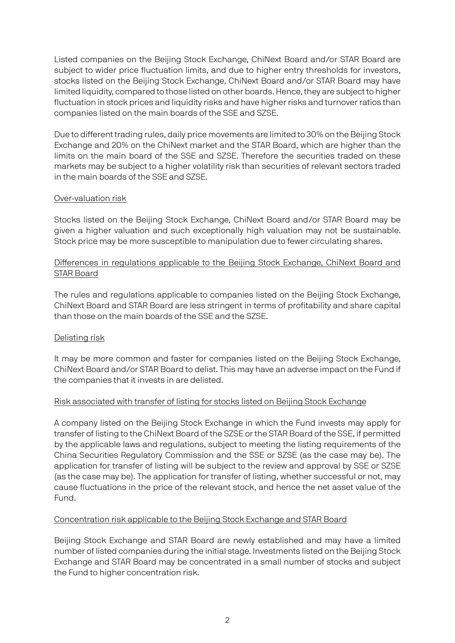Listed companies on the Beijing Stock Exchange, ChiNext Board and/or STAR Board are subject to wider price fluctuation limits, and due to higher entry thresholds for investors, stocks listed on the Beijing Stock Exchange, ChiNext Board and/or STAR Board may have limited liquidity, compared to those listed on other boards. Hence, they are subject to higher fluctuation in stock prices and liquidity risks and have higher risks and turnover ratios than companies listed on the main boards of the SSE and SZSE.

Due to different trading rules, daily price movements are limited to 30% on the Beijing Stock Exchange and 20% on the ChiNext market and the STAR Board, which are higher than the limits on the main board of the SSE and SZSE. Therefore the securities traded on these markets may be subject to a higher volatility risk than securities of relevant sectors traded in the main boards of the SSE and SZSE.

## Over-valuation risk

Stocks listed on the Beijing Stock Exchange, ChiNext Board and/or STAR Board may be given a higher valuation and such exceptionally high valuation may not be sustainable. Stock price may be more susceptible to manipulation due to fewer circulating shares.

## Differences in regulations applicable to the Beijing Stock Exchange, ChiNext Board and STAR Board

The rules and regulations applicable to companies listed on the Beijing Stock Exchange, ChiNext Board and STAR Board are less stringent in terms of profitability and share capital than those on the main boards of the SSE and the SZSE.

## Delisting risk

It may be more common and faster for companies listed on the Beijing Stock Exchange, ChiNext Board and/or STAR Board to delist. This may have an adverse impact on the Fund if the companies that it invests in are delisted.

## Risk associated with transfer of listing for stocks listed on Beijing Stock Exchange

A company listed on the Beijing Stock Exchange in which the Fund invests may apply for transfer of listing to the ChiNext Board of the SZSE or the STAR Board of the SSE, if permitted by the applicable laws and regulations, subject to meeting the listing requirements of the China Securities Regulatory Commission and the SSE or SZSE (as the case may be). The application for transfer of listing will be subject to the review and approval by SSE or SZSE (as the case may be). The application for transfer of listing, whether successful or not, may cause fluctuations in the price of the relevant stock, and hence the net asset value of the Fund.

## Concentration risk applicable to the Beijing Stock Exchange and STAR Board

Beijing Stock Exchange and STAR Board are newly established and may have a limited number of listed companies during the initial stage. Investments listed on the Beijing Stock Exchange and STAR Board may be concentrated in a small number of stocks and subject the Fund to higher concentration risk.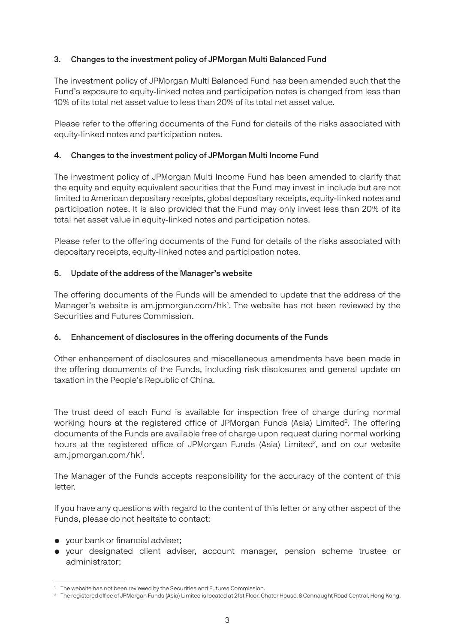## 3. Changes to the investment policy of JPMorgan Multi Balanced Fund

The investment policy of JPMorgan Multi Balanced Fund has been amended such that the Fund's exposure to equity-linked notes and participation notes is changed from less than 10% of its total net asset value to less than 20% of its total net asset value.

Please refer to the offering documents of the Fund for details of the risks associated with equity-linked notes and participation notes.

## 4. Changes to the investment policy of JPMorgan Multi Income Fund

The investment policy of JPMorgan Multi Income Fund has been amended to clarify that the equity and equity equivalent securities that the Fund may invest in include but are not limited to American depositary receipts, global depositary receipts, equity-linked notes and participation notes. It is also provided that the Fund may only invest less than 20% of its total net asset value in equity-linked notes and participation notes.

Please refer to the offering documents of the Fund for details of the risks associated with depositary receipts, equity-linked notes and participation notes.

## 5. Update of the address of the Manager's website

The offering documents of the Funds will be amended to update that the address of the Manager's website is am.jpmorgan.com/hk<sup>1</sup>. The website has not been reviewed by the Securities and Futures Commission.

## 6. Enhancement of disclosures in the offering documents of the Funds

Other enhancement of disclosures and miscellaneous amendments have been made in the offering documents of the Funds, including risk disclosures and general update on taxation in the People's Republic of China.

The trust deed of each Fund is available for inspection free of charge during normal working hours at the registered office of JPMorgan Funds (Asia) Limited<sup>2</sup>. The offering documents of the Funds are available free of charge upon request during normal working hours at the registered office of JPMorgan Funds (Asia) Limited<sup>2</sup>, and on our website am.jpmorgan.com/hk<sup>1</sup>.

The Manager of the Funds accepts responsibility for the accuracy of the content of this letter.

If you have any questions with regard to the content of this letter or any other aspect of the Funds, please do not hesitate to contact:

- your bank or financial adviser;
- your designated client adviser, account manager, pension scheme trustee or administrator;

<sup>&</sup>lt;sup>1</sup> The website has not been reviewed by the Securities and Futures Commission.

<sup>&</sup>lt;sup>2</sup> The registered office of JPMorgan Funds (Asia) Limited is located at 21st Floor, Chater House, 8 Connaught Road Central, Hong Kong.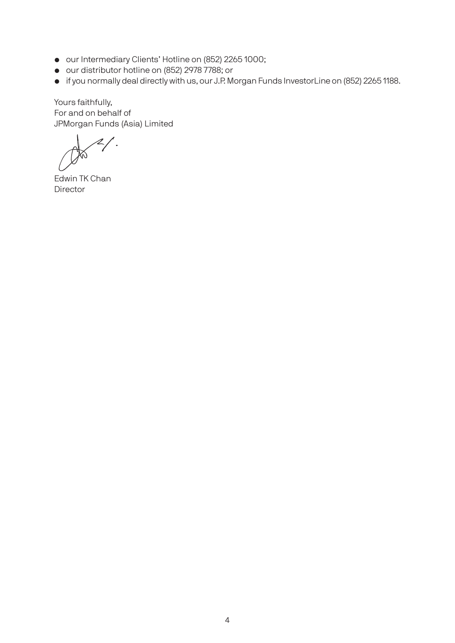- our Intermediary Clients' Hotline on (852) 2265 1000;
- our distributor hotline on (852) 2978 7788; or
- if you normally deal directly with us, our J.P. Morgan Funds InvestorLine on (852) 2265 1188.

Yours faithfully, For and on behalf of JPMorgan Funds (Asia) Limited

Edwin TK Chan Director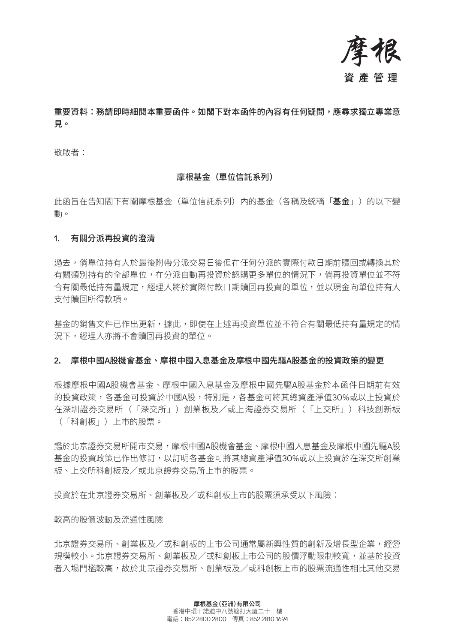

## 重要資料:務請即時細閱本重要函件。如閣下對本函件的內容有任何疑問,應尋求獨立專業意 見。

敬啟者:

### 摩根基金(單位信託系列)

此函旨在告知閣下有關摩根基金(單位信託系列)內的基金(各稱及統稱「**基金**」)的以下變 動。

### 1. 有關分派再投資的澄清

過去,倘單位持有人於最後附帶分派交易日後但在任何分派的實際付款日期前贖回或轉換其於 有關類別持有的全部單位,在分派自動再投資於認購更多單位的情況下,倘再投資單位並不符 合有關最低持有量規定,經理人將於實際付款日期贖回再投資的單位,並以現金向單位持有人 支付贖回所得款項。

基金的銷售文件已作出更新,據此,即使在上述再投資單位並不符合有關最低持有量規定的情 況下,經理人亦將不會贖回再投資的單位。

### 2. 摩根中國A股機會基金、摩根中國入息基金及摩根中國先驅A股基金的投資政策的變更

根據摩根中國A股機會基金、摩根中國入息基金及摩根中國先驅A股基金於本函件日期前有效 的投資政策,各基金可投資於中國A股,特別是,各基金可將其總資產淨值30%或以上投資於 在深圳證券交易所(「深交所」)創業板及/或上海證券交易所(「上交所」)科技創新板 (「科創板」)上市的股票。

鑑於北京證券交易所開市交易,摩根中國A股機會基金、摩根中國入息基金及摩根中國先驅A股 基金的投資政策已作出修訂,以訂明各基金可將其總資產淨值30%或以上投資於在深交所創業 板、上交所科創板及/或北京證券交易所上市的股票。

投資於在北京證券交易所、創業板及/或科創板上市的股票須承受以下風險:

### 較高的股價波動及流通性風險

北京證券交易所、創業板及/或科創板的上市公司通常屬新興性質的創新及增長型企業,經營 規模較小。北京證券交易所、創業板及/或科創板上市公司的股價浮動限制較寬,並基於投資 者入場門檻較高,故於北京證券交易所、創業板及/或科創板上市的股票流通性相比其他交易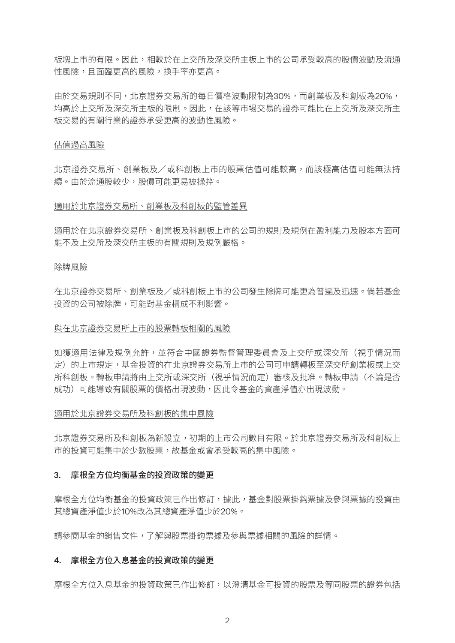板塊上市的有限。因此,相較於在上交所及深交所主板上市的公司承受較高的股價波動及流通 性風險,且面臨更高的風險,換手率亦更高。

由於交易規則不同,北京證券交易所的每日價格波動限制為30%,而創業板及科創板為20%, 均高於上交所及深交所主板的限制。因此,在該等市場交易的證券可能比在上交所及深交所主 板交易的有關行業的證券承受更高的波動性風險。

### 估值過高風險

北京證券交易所、創業板及/或科創板上市的股票估值可能較高,而該極高估值可能無法持 續。由於流通股較少,股價可能更易被操控。

### 適用於北京證券交易所、創業板及科創板的監管差異

適用於在北京證券交易所、創業板及科創板上市的公司的規則及規例在盈利能力及股本方面可 能不及上交所及深交所主板的有關規則及規例嚴格。

### 除牌風險

在北京證券交易所、創業板及/或科創板上市的公司發生除牌可能更為普遍及迅速。倘若基金 投資的公司被除牌,可能對基金構成不利影響。

### 與在北京證券交易所上市的股票轉板相關的風險

如獲適用法律及規例允許,並符合中國證券監督管理委員會及上交所或深交所(視乎情況而 定)的上市規定,基金投資的在北京證券交易所上市的公司可申請轉板至深交所創業板或上交 所科創板。轉板申請將由上交所或深交所(視乎情況而定)審核及批准。轉板申請(不論是否 成功)可能導致有關股票的價格出現波動,因此令基金的資產淨值亦出現波動。

### 適用於北京證券交易所及科創板的集中風險

北京證券交易所及科創板為新設立,初期的上市公司數目有限。於北京證券交易所及科創板上 市的投資可能集中於少數股票,故基金或會承受較高的集中風險。

### 3. 摩根全方位均衡基金的投資政策的變更

摩根全方位均衡基金的投資政策已作出修訂,據此,基金對股票掛鈎票據及參與票據的投資由 其總資產淨值少於10%改為其總資產淨值少於20%。

請參閱基金的銷售文件,了解與股票掛鈎票據及參與票據相關的風險的詳情。

### 4. 摩根全方位入息基金的投資政策的變更

摩根全方位入息基金的投資政策已作出修訂,以澄清基金可投資的股票及等同股票的證券包括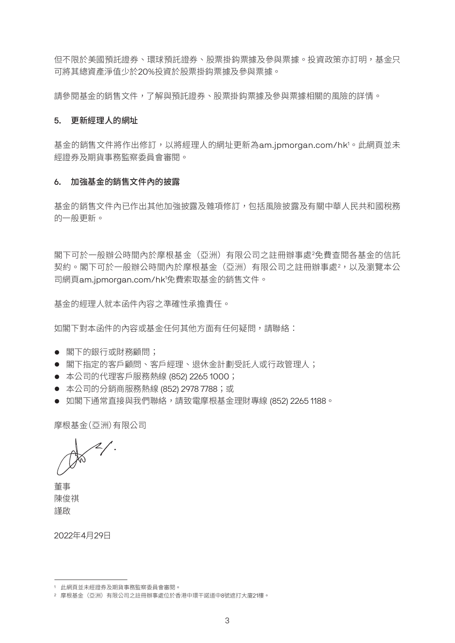但不限於美國預託證券、環球預託證券、股票掛鈎票據及參與票據。投資政策亦訂明,基金只 可將其總資產淨值少於20%投資於股票掛鈎票據及參與票據。

請參閱基金的銷售文件,了解與預託證券、股票掛鈎票據及參與票據相關的風險的詳情。

### 5. 更新經理人的網址

基金的銷售文件將作出修訂,以將經理人的網址更新為am.jpmorgan.com/hk<sup>1。</sup>此網頁並未 經證券及期貨事務監察委員會審閱。

## 6. 加強基金的銷售文件內的披露

基金的銷售文件內已作出其他加強披露及雜項修訂,包括風險披露及有關中華人民共和國稅務 的一般更新。

閣下可於一般辦公時間內於摩根基金(亞洲)有限公司之註冊辦事處<sup>2</sup> 免費查閱各基金的信託 契約。閣下可於一般辦公時間內於摩根基金(亞洲)有限公司之註冊辦事處<sup>2</sup>,以及瀏覽本公 司網頁am.jpmorgan.com/hk1 免費索取基金的銷售文件。

基金的經理人就本函件內容之準確性承擔責任。

如閣下對本函件的內容或基金任何其他方面有任何疑問,請聯絡:

- 閣下的銀行或財務顧問;
- 閣下指定的客戶顧問、客戶經理、退休金計劃受託人或行政管理人;
- 本公司的代理客戶服務熱線 (852) 2265 1000;
- 本公司的分銷商服務熱線 (852) 2978 7788;或
- 如閣下通常直接與我們聯絡,請致電摩根基金理財專線 (852) 2265 1188。

摩根基金(亞洲)有限公司

董事 陳俊祺 謹啟

2022年4月29日

<sup>1</sup> 此網頁並未經證券及期貨事務監察委員會審閱。

<sup>2</sup> 摩根基金(亞洲)有限公司之註冊辦事處位於香港中環干諾道中8號遮打大廈21樓。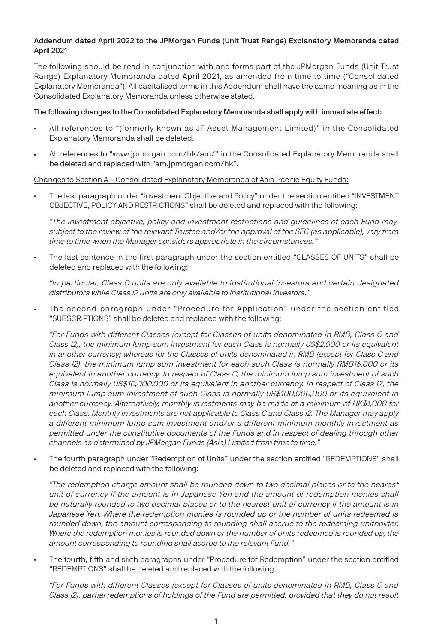#### Addendum dated April 2022 to the JPMorgan Funds (Unit Trust Range) Explanatory Memoranda dated April 2021

The following should be read in conjunction with and forms part of the JPMorgan Funds (Unit Trust Range) Explanatory Memoranda dated April 2021, as amended from time to time ("Consolidated Explanatory Memoranda"). All capitalised terms in this Addendum shall have the same meaning as in the Consolidated Explanatory Memoranda unless otherwise stated.

#### The following changes to the Consolidated Explanatory Memoranda shall apply with immediate effect:

- All references to "(formerly known as JF Asset Management Limited)" in the Consolidated Explanatory Memoranda shall be deleted.
- All references to "www.jpmorgan.com/hk/am/" in the Consolidated Explanatory Memoranda shall be deleted and replaced with "am.jpmorgan.com/hk".

#### Changes to Section A – Consolidated Explanatory Memoranda of Asia Pacific Equity Funds:

• The last paragraph under "Investment Objective and Policy" under the section entitled "INVESTMENT OBJECTIVE, POLICY AND RESTRICTIONS" shall be deleted and replaced with the following:

"The investment objective, policy and investment restrictions and guidelines of each Fund may, subject to the review of the relevant Trustee and/or the approval of the SFC (as applicable), vary from time to time when the Manager considers appropriate in the circumstances."

• The last sentence in the first paragraph under the section entitled "CLASSES OF UNITS" shall be deleted and replaced with the following:

"In particular, Class C units are only available to institutional investors and certain designated distributors while Class I2 units are only available to institutional investors."

• The second paragraph under "Procedure for Application" under the section entitled "SUBSCRIPTIONS" shall be deleted and replaced with the following:

"For Funds with different Classes (except for Classes of units denominated in RMB, Class C and Class I2), the minimum lump sum investment for each Class is normally US\$2,000 or its equivalent in another currency; whereas for the Classes of units denominated in RMB (except for Class C and Class I2), the minimum lump sum investment for each such Class is normally RMB16,000 or its equivalent in another currency. In respect of Class C, the minimum lump sum investment of such Class is normally US\$10,000,000 or its equivalent in another currency. In respect of Class I2, the minimum lump sum investment of such Class is normally US\$100,000,000 or its equivalent in another currency. Alternatively, monthly investments may be made at a minimum of HK\$1,000 for each Class. Monthly investments are not applicable to Class C and Class I2. The Manager may apply a different minimum lump sum investment and/or a different minimum monthly investment as permitted under the constitutive documents of the Funds and in respect of dealing through other channels as determined by JPMorgan Funds (Asia) Limited from time to time."

• The fourth paragraph under "Redemption of Units" under the section entitled "REDEMPTIONS" shall be deleted and replaced with the following:

"The redemption charge amount shall be rounded down to two decimal places or to the nearest unit of currency if the amount is in Japanese Yen and the amount of redemption monies shall be naturally rounded to two decimal places or to the nearest unit of currency if the amount is in Japanese Yen. Where the redemption monies is rounded up or the number of units redeemed is rounded down, the amount corresponding to rounding shall accrue to the redeeming unitholder. Where the redemption monies is rounded down or the number of units redeemed is rounded up, the amount corresponding to rounding shall accrue to the relevant Fund."

• The fourth, fifth and sixth paragraphs under "Procedure for Redemption" under the section entitled "REDEMPTIONS" shall be deleted and replaced with the following:

"For Funds with different Classes (except for Classes of units denominated in RMB, Class C and Class I2), partial redemptions of holdings of the Fund are permitted, provided that they do not result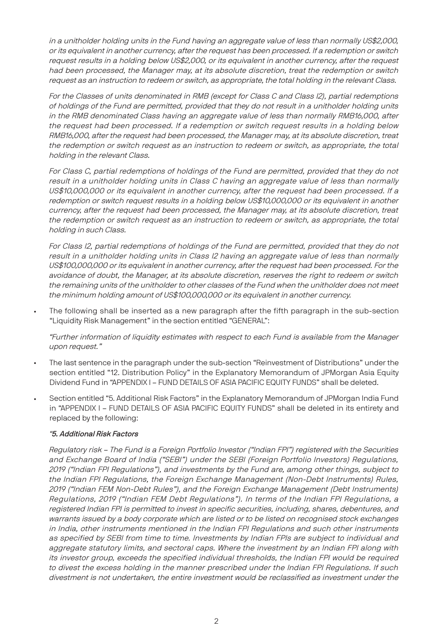in a unitholder holding units in the Fund having an aggregate value of less than normally US\$2,000, or its equivalent in another currency, after the request has been processed. If a redemption or switch request results in a holding below US\$2,000, or its equivalent in another currency, after the request had been processed, the Manager may, at its absolute discretion, treat the redemption or switch request as an instruction to redeem or switch, as appropriate, the total holding in the relevant Class.

For the Classes of units denominated in RMB (except for Class C and Class I2), partial redemptions of holdings of the Fund are permitted, provided that they do not result in a unitholder holding units in the RMB denominated Class having an aggregate value of less than normally RMB16,000, after the request had been processed. If a redemption or switch request results in a holding below RMB16,000, after the request had been processed, the Manager may, at its absolute discretion, treat the redemption or switch request as an instruction to redeem or switch, as appropriate, the total holding in the relevant Class.

For Class C, partial redemptions of holdings of the Fund are permitted, provided that they do not result in a unitholder holding units in Class C having an aggregate value of less than normally US\$10,000,000 or its equivalent in another currency, after the request had been processed. If a redemption or switch request results in a holding below US\$10,000,000 or its equivalent in another currency, after the request had been processed, the Manager may, at its absolute discretion, treat the redemption or switch request as an instruction to redeem or switch, as appropriate, the total holding in such Class.

For Class I2, partial redemptions of holdings of the Fund are permitted, provided that they do not result in a unitholder holding units in Class I2 having an aggregate value of less than normally US\$100,000,000 or its equivalent in another currency, after the request had been processed. For the avoidance of doubt, the Manager, at its absolute discretion, reserves the right to redeem or switch the remaining units of the unitholder to other classes of the Fund when the unitholder does not meet the minimum holding amount of US\$100,000,000 or its equivalent in another currency.

• The following shall be inserted as a new paragraph after the fifth paragraph in the sub-section "Liquidity Risk Management" in the section entitled "GENERAL":

"Further information of liquidity estimates with respect to each Fund is available from the Manager upon request."

- The last sentence in the paragraph under the sub-section "Reinvestment of Distributions" under the section entitled "12. Distribution Policy" in the Explanatory Memorandum of JPMorgan Asia Equity Dividend Fund in "APPENDIX I – FUND DETAILS OF ASIA PACIFIC EQUITY FUNDS" shall be deleted.
- Section entitled "5. Additional Risk Factors" in the Explanatory Memorandum of JPMorgan India Fund in "APPENDIX I – FUND DETAILS OF ASIA PACIFIC EQUITY FUNDS" shall be deleted in its entirety and replaced by the following:

#### "5. Additional Risk Factors

Regulatory risk – The Fund is a Foreign Portfolio Investor ("Indian FPI") registered with the Securities and Exchange Board of India ("SEBI") under the SEBI (Foreign Portfolio Investors) Regulations, 2019 ("Indian FPI Regulations"), and investments by the Fund are, among other things, subject to the Indian FPI Regulations, the Foreign Exchange Management (Non-Debt Instruments) Rules, 2019 ("Indian FEM Non-Debt Rules"), and the Foreign Exchange Management (Debt Instruments) Regulations, 2019 ("Indian FEM Debt Regulations"). In terms of the Indian FPI Regulations, a registered Indian FPI is permitted to invest in specific securities, including, shares, debentures, and warrants issued by a body corporate which are listed or to be listed on recognised stock exchanges in India, other instruments mentioned in the Indian FPI Regulations and such other instruments as specified by SEBI from time to time. Investments by Indian FPIs are subject to individual and aggregate statutory limits, and sectoral caps. Where the investment by an Indian FPI along with its investor group, exceeds the specified individual thresholds, the Indian FPI would be required to divest the excess holding in the manner prescribed under the Indian FPI Regulations. If such divestment is not undertaken, the entire investment would be reclassified as investment under the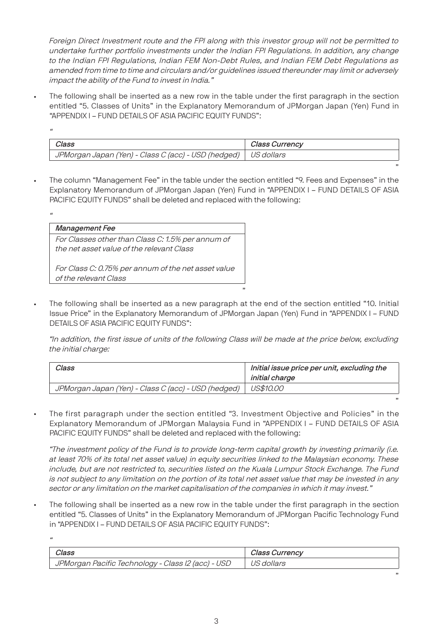Foreign Direct Investment route and the FPI along with this investor group will not be permitted to undertake further portfolio investments under the Indian FPI Regulations. In addition, any change to the Indian FPI Regulations, Indian FEM Non-Debt Rules, and Indian FEM Debt Regulations as amended from time to time and circulars and/or guidelines issued thereunder may limit or adversely impact the ability of the Fund to invest in India."

• The following shall be inserted as a new row in the table under the first paragraph in the section entitled "5. Classes of Units" in the Explanatory Memorandum of JPMorgan Japan (Yen) Fund in "APPENDIX I – FUND DETAILS OF ASIA PACIFIC EQUITY FUNDS":

| Class                                                            | Class Currency |
|------------------------------------------------------------------|----------------|
| JPMorgan Japan (Yen) - Class C (acc) - USD (hedged)   US dollars |                |

"

"

"

• The column "Management Fee" in the table under the section entitled "9. Fees and Expenses" in the Explanatory Memorandum of JPMorgan Japan (Yen) Fund in "APPENDIX I – FUND DETAILS OF ASIA PACIFIC EQUITY FUNDS" shall be deleted and replaced with the following:

| <b>Management Fee</b>                               |
|-----------------------------------------------------|
| For Classes other than Class C: 1.5% per annum of   |
| the net asset value of the relevant Class           |
| For Class C: 0.75% per annum of the net asset value |
| of the relevant Class                               |

• The following shall be inserted as a new paragraph at the end of the section entitled "10. Initial Issue Price" in the Explanatory Memorandum of JPMorgan Japan (Yen) Fund in "APPENDIX I – FUND DETAILS OF ASIA PACIFIC EQUITY FUNDS":

"In addition, the first issue of units of the following Class will be made at the price below, excluding the initial charge:

"

| Class                                               | Initial issue price per unit, excluding the<br>initial charge |
|-----------------------------------------------------|---------------------------------------------------------------|
| JPMorgan Japan (Yen) - Class C (acc) - USD (hedged) | <i>US\$10.00</i>                                              |

• The first paragraph under the section entitled "3. Investment Objective and Policies" in the Explanatory Memorandum of JPMorgan Malaysia Fund in "APPENDIX I – FUND DETAILS OF ASIA PACIFIC EQUITY FUNDS" shall be deleted and replaced with the following:

"The investment policy of the Fund is to provide long-term capital growth by investing primarily (i.e. at least 70% of its total net asset value) in equity securities linked to the Malaysian economy. These include, but are not restricted to, securities listed on the Kuala Lumpur Stock Exchange. The Fund is not subject to any limitation on the portion of its total net asset value that may be invested in any sector or any limitation on the market capitalisation of the companies in which it may invest."

The following shall be inserted as a new row in the table under the first paragraph in the section entitled "5. Classes of Units" in the Explanatory Memorandum of JPMorgan Pacific Technology Fund in "APPENDIX I – FUND DETAILS OF ASIA PACIFIC EQUITY FUNDS":

| Class                                              | Class Currency |
|----------------------------------------------------|----------------|
| JPMorgan Pacific Technology - Class I2 (acc) - USD | US dollars     |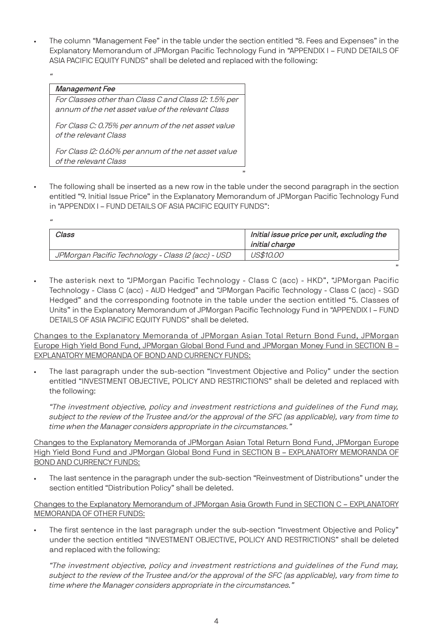• The column "Management Fee" in the table under the section entitled "8. Fees and Expenses" in the Explanatory Memorandum of JPMorgan Pacific Technology Fund in "APPENDIX I – FUND DETAILS OF ASIA PACIFIC EQUITY FUNDS" shall be deleted and replaced with the following:

#### Management Fee

For Classes other than Class C and Class I2: 1.5% per annum of the net asset value of the relevant Class

For Class C: 0.75% per annum of the net asset value of the relevant Class

For Class I2: 0.60% per annum of the net asset value of the relevant Class

The following shall be inserted as a new row in the table under the second paragraph in the section entitled "9. Initial Issue Price" in the Explanatory Memorandum of JPMorgan Pacific Technology Fund in "APPENDIX I – FUND DETAILS OF ASIA PACIFIC EQUITY FUNDS":

"

"

| Class                                              | Initial issue price per unit, excluding the<br>initial charge |
|----------------------------------------------------|---------------------------------------------------------------|
| JPMorgan Pacific Technology - Class I2 (acc) - USD | <i>US\$10.00</i>                                              |

• The asterisk next to "JPMorgan Pacific Technology - Class C (acc) - HKD", "JPMorgan Pacific Technology - Class C (acc) - AUD Hedged" and "JPMorgan Pacific Technology - Class C (acc) - SGD Hedged" and the corresponding footnote in the table under the section entitled "5. Classes of Units" in the Explanatory Memorandum of JPMorgan Pacific Technology Fund in "APPENDIX I – FUND DETAILS OF ASIA PACIFIC EQUITY FUNDS" shall be deleted.

Changes to the Explanatory Memoranda of JPMorgan Asian Total Return Bond Fund, JPMorgan Europe High Yield Bond Fund, JPMorgan Global Bond Fund and JPMorgan Money Fund in SECTION B – EXPLANATORY MEMORANDA OF BOND AND CURRENCY FUNDS:

• The last paragraph under the sub-section "Investment Objective and Policy" under the section entitled "INVESTMENT OBJECTIVE, POLICY AND RESTRICTIONS" shall be deleted and replaced with the following:

"The investment objective, policy and investment restrictions and guidelines of the Fund may, subject to the review of the Trustee and/or the approval of the SFC (as applicable), vary from time to time when the Manager considers appropriate in the circumstances."

Changes to the Explanatory Memoranda of JPMorgan Asian Total Return Bond Fund, JPMorgan Europe High Yield Bond Fund and JPMorgan Global Bond Fund in SECTION B – EXPLANATORY MEMORANDA OF BOND AND CURRENCY FUNDS:

The last sentence in the paragraph under the sub-section "Reinvestment of Distributions" under the section entitled "Distribution Policy" shall be deleted.

#### Changes to the Explanatory Memorandum of JPMorgan Asia Growth Fund in SECTION C – EXPLANATORY MEMORANDA OF OTHER FUNDS:

• The first sentence in the last paragraph under the sub-section "Investment Objective and Policy" under the section entitled "INVESTMENT OBJECTIVE, POLICY AND RESTRICTIONS" shall be deleted and replaced with the following:

"The investment objective, policy and investment restrictions and guidelines of the Fund may, subject to the review of the Trustee and/or the approval of the SFC (as applicable), vary from time to time where the Manager considers appropriate in the circumstances."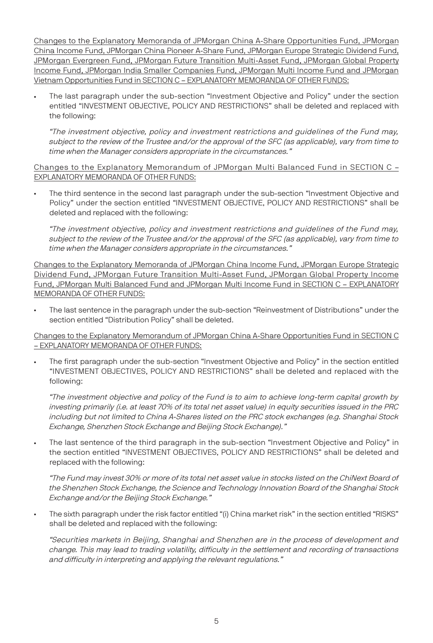Changes to the Explanatory Memoranda of JPMorgan China A-Share Opportunities Fund, JPMorgan China Income Fund, JPMorgan China Pioneer A-Share Fund, JPMorgan Europe Strategic Dividend Fund, JPMorgan Evergreen Fund, JPMorgan Future Transition Multi-Asset Fund, JPMorgan Global Property Income Fund, JPMorgan India Smaller Companies Fund, JPMorgan Multi Income Fund and JPMorgan Vietnam Opportunities Fund in SECTION C – EXPLANATORY MEMORANDA OF OTHER FUNDS:

• The last paragraph under the sub-section "Investment Objective and Policy" under the section entitled "INVESTMENT OBJECTIVE, POLICY AND RESTRICTIONS" shall be deleted and replaced with the following:

"The investment objective, policy and investment restrictions and guidelines of the Fund may, subject to the review of the Trustee and/or the approval of the SFC (as applicable), vary from time to time when the Manager considers appropriate in the circumstances."

Changes to the Explanatory Memorandum of JPMorgan Multi Balanced Fund in SECTION C – EXPLANATORY MEMORANDA OF OTHER FUNDS:

• The third sentence in the second last paragraph under the sub-section "Investment Objective and Policy" under the section entitled "INVESTMENT OBJECTIVE, POLICY AND RESTRICTIONS" shall be deleted and replaced with the following:

"The investment objective, policy and investment restrictions and guidelines of the Fund may, subject to the review of the Trustee and/or the approval of the SFC (as applicable), vary from time to time when the Manager considers appropriate in the circumstances."

Changes to the Explanatory Memoranda of JPMorgan China Income Fund, JPMorgan Europe Strategic Dividend Fund, JPMorgan Future Transition Multi-Asset Fund, JPMorgan Global Property Income Fund, JPMorgan Multi Balanced Fund and JPMorgan Multi Income Fund in SECTION C – EXPLANATORY MEMORANDA OF OTHER FUNDS:

The last sentence in the paragraph under the sub-section "Reinvestment of Distributions" under the section entitled "Distribution Policy" shall be deleted.

Changes to the Explanatory Memorandum of JPMorgan China A-Share Opportunities Fund in SECTION C – EXPLANATORY MEMORANDA OF OTHER FUNDS:

The first paragraph under the sub-section "Investment Objective and Policy" in the section entitled "INVESTMENT OBJECTIVES, POLICY AND RESTRICTIONS" shall be deleted and replaced with the following:

"The investment objective and policy of the Fund is to aim to achieve long-term capital growth by investing primarily (i.e. at least 70% of its total net asset value) in equity securities issued in the PRC including but not limited to China A-Shares listed on the PRC stock exchanges (e.g. Shanghai Stock Exchange, Shenzhen Stock Exchange and Beijing Stock Exchange)."

The last sentence of the third paragraph in the sub-section "Investment Objective and Policy" in the section entitled "INVESTMENT OBJECTIVES, POLICY AND RESTRICTIONS" shall be deleted and replaced with the following:

"The Fund may invest 30% or more of its total net asset value in stocks listed on the ChiNext Board of the Shenzhen Stock Exchange, the Science and Technology Innovation Board of the Shanghai Stock Exchange and/or the Beijing Stock Exchange."

• The sixth paragraph under the risk factor entitled "(i) China market risk" in the section entitled "RISKS" shall be deleted and replaced with the following:

"Securities markets in Beijing, Shanghai and Shenzhen are in the process of development and change. This may lead to trading volatility, difficulty in the settlement and recording of transactions and difficulty in interpreting and applying the relevant regulations."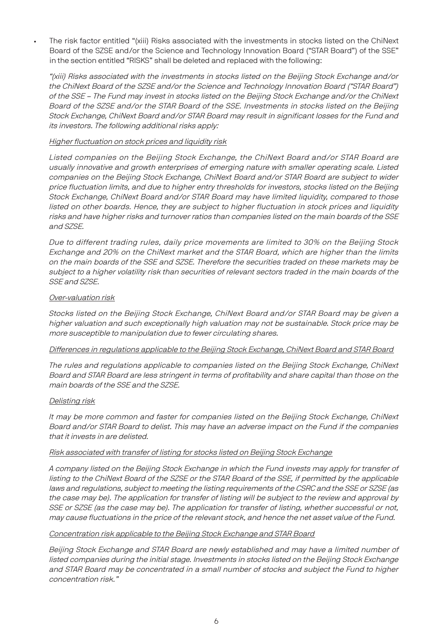• The risk factor entitled "(xiii) Risks associated with the investments in stocks listed on the ChiNext Board of the SZSE and/or the Science and Technology Innovation Board ("STAR Board") of the SSE" in the section entitled "RISKS" shall be deleted and replaced with the following:

"(xiii) Risks associated with the investments in stocks listed on the Beijing Stock Exchange and/or the ChiNext Board of the SZSE and/or the Science and Technology Innovation Board ("STAR Board") of the SSE – The Fund may invest in stocks listed on the Beijing Stock Exchange and/or the ChiNext Board of the SZSE and/or the STAR Board of the SSE. Investments in stocks listed on the Beijing Stock Exchange, ChiNext Board and/or STAR Board may result in significant losses for the Fund and its investors. The following additional risks apply:

#### Higher fluctuation on stock prices and liquidity risk

Listed companies on the Beijing Stock Exchange, the ChiNext Board and/or STAR Board are usually innovative and growth enterprises of emerging nature with smaller operating scale. Listed companies on the Beijing Stock Exchange, ChiNext Board and/or STAR Board are subject to wider price fluctuation limits, and due to higher entry thresholds for investors, stocks listed on the Beijing Stock Exchange, ChiNext Board and/or STAR Board may have limited liquidity, compared to those listed on other boards. Hence, they are subject to higher fluctuation in stock prices and liquidity risks and have higher risks and turnover ratios than companies listed on the main boards of the SSE and SZSE.

Due to different trading rules, daily price movements are limited to 30% on the Beijing Stock Exchange and 20% on the ChiNext market and the STAR Board, which are higher than the limits on the main boards of the SSE and SZSE. Therefore the securities traded on these markets may be subject to a higher volatility risk than securities of relevant sectors traded in the main boards of the SSE and SZSE.

#### Over-valuation risk

Stocks listed on the Beijing Stock Exchange, ChiNext Board and/or STAR Board may be given a higher valuation and such exceptionally high valuation may not be sustainable. Stock price may be more susceptible to manipulation due to fewer circulating shares.

#### Differences in regulations applicable to the Beijing Stock Exchange, ChiNext Board and STAR Board

The rules and regulations applicable to companies listed on the Beijing Stock Exchange, ChiNext Board and STAR Board are less stringent in terms of profitability and share capital than those on the main boards of the SSE and the SZSE.

#### Delisting risk

It may be more common and faster for companies listed on the Beijing Stock Exchange, ChiNext Board and/or STAR Board to delist. This may have an adverse impact on the Fund if the companies that it invests in are delisted.

#### Risk associated with transfer of listing for stocks listed on Beijing Stock Exchange

A company listed on the Beijing Stock Exchange in which the Fund invests may apply for transfer of listing to the ChiNext Board of the SZSE or the STAR Board of the SSE, if permitted by the applicable laws and regulations, subject to meeting the listing requirements of the CSRC and the SSE or SZSE (as the case may be). The application for transfer of listing will be subject to the review and approval by SSE or SZSE (as the case may be). The application for transfer of listing, whether successful or not, may cause fluctuations in the price of the relevant stock, and hence the net asset value of the Fund.

#### Concentration risk applicable to the Beijing Stock Exchange and STAR Board

Beijing Stock Exchange and STAR Board are newly established and may have a limited number of listed companies during the initial stage. Investments in stocks listed on the Beijing Stock Exchange and STAR Board may be concentrated in a small number of stocks and subject the Fund to higher concentration risk."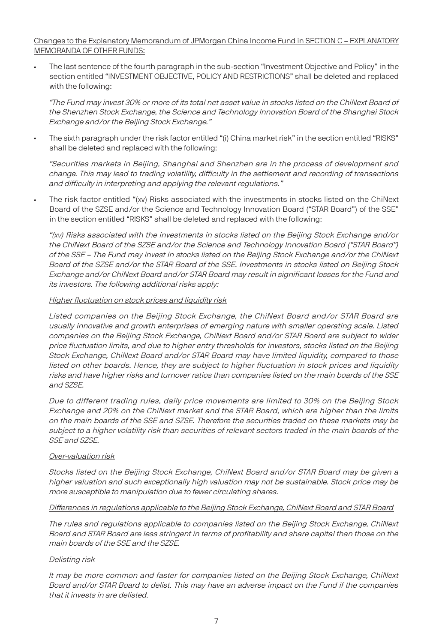#### Changes to the Explanatory Memorandum of JPMorgan China Income Fund in SECTION C – EXPLANATORY MEMORANDA OF OTHER FUNDS:

• The last sentence of the fourth paragraph in the sub-section "Investment Objective and Policy" in the section entitled "INVESTMENT OBJECTIVE, POLICY AND RESTRICTIONS" shall be deleted and replaced with the following:

"The Fund may invest 30% or more of its total net asset value in stocks listed on the ChiNext Board of the Shenzhen Stock Exchange, the Science and Technology Innovation Board of the Shanghai Stock Exchange and/or the Beijing Stock Exchange."

• The sixth paragraph under the risk factor entitled "(i) China market risk" in the section entitled "RISKS" shall be deleted and replaced with the following:

"Securities markets in Beijing, Shanghai and Shenzhen are in the process of development and change. This may lead to trading volatility, difficulty in the settlement and recording of transactions and difficulty in interpreting and applying the relevant regulations."

• The risk factor entitled "(xv) Risks associated with the investments in stocks listed on the ChiNext Board of the SZSE and/or the Science and Technology Innovation Board ("STAR Board") of the SSE" in the section entitled "RISKS" shall be deleted and replaced with the following:

"(xv) Risks associated with the investments in stocks listed on the Beijing Stock Exchange and/or the ChiNext Board of the SZSE and/or the Science and Technology Innovation Board ("STAR Board") of the SSE – The Fund may invest in stocks listed on the Beijing Stock Exchange and/or the ChiNext Board of the SZSE and/or the STAR Board of the SSE. Investments in stocks listed on Beijing Stock Exchange and/or ChiNext Board and/or STAR Board may result in significant losses for the Fund and its investors. The following additional risks apply:

#### Higher fluctuation on stock prices and liquidity risk

Listed companies on the Beijing Stock Exchange, the ChiNext Board and/or STAR Board are usually innovative and growth enterprises of emerging nature with smaller operating scale. Listed companies on the Beijing Stock Exchange, ChiNext Board and/or STAR Board are subject to wider price fluctuation limits, and due to higher entry thresholds for investors, stocks listed on the Beijing Stock Exchange, ChiNext Board and/or STAR Board may have limited liquidity, compared to those listed on other boards. Hence, they are subject to higher fluctuation in stock prices and liquidity risks and have higher risks and turnover ratios than companies listed on the main boards of the SSE and SZSE.

Due to different trading rules, daily price movements are limited to 30% on the Beijing Stock Exchange and 20% on the ChiNext market and the STAR Board, which are higher than the limits on the main boards of the SSE and SZSE. Therefore the securities traded on these markets may be subject to a higher volatility risk than securities of relevant sectors traded in the main boards of the SSE and SZSE.

#### Over-valuation risk

Stocks listed on the Beijing Stock Exchange, ChiNext Board and/or STAR Board may be given a higher valuation and such exceptionally high valuation may not be sustainable. Stock price may be more susceptible to manipulation due to fewer circulating shares.

#### Differences in regulations applicable to the Beijing Stock Exchange, ChiNext Board and STAR Board

The rules and regulations applicable to companies listed on the Beijing Stock Exchange, ChiNext Board and STAR Board are less stringent in terms of profitability and share capital than those on the main boards of the SSE and the SZSE.

#### Delisting risk

It may be more common and faster for companies listed on the Beijing Stock Exchange, ChiNext Board and/or STAR Board to delist. This may have an adverse impact on the Fund if the companies that it invests in are delisted.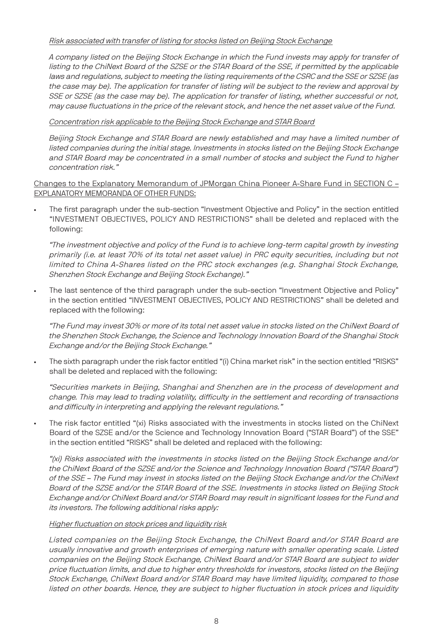#### Risk associated with transfer of listing for stocks listed on Beijing Stock Exchange

A company listed on the Beijing Stock Exchange in which the Fund invests may apply for transfer of listing to the ChiNext Board of the SZSE or the STAR Board of the SSE, if permitted by the applicable laws and requlations, subject to meeting the listing requirements of the CSRC and the SSE or SZSE (as the case may be). The application for transfer of listing will be subject to the review and approval by SSE or SZSE (as the case may be). The application for transfer of listing, whether successful or not, may cause fluctuations in the price of the relevant stock, and hence the net asset value of the Fund.

#### Concentration risk applicable to the Beijing Stock Exchange and STAR Board

Beijing Stock Exchange and STAR Board are newly established and may have a limited number of listed companies during the initial stage. Investments in stocks listed on the Beijing Stock Exchange and STAR Board may be concentrated in a small number of stocks and subject the Fund to higher concentration risk."

#### Changes to the Explanatory Memorandum of JPMorgan China Pioneer A-Share Fund in SECTION C – EXPLANATORY MEMORANDA OF OTHER FUNDS:

• The first paragraph under the sub-section "Investment Objective and Policy" in the section entitled "INVESTMENT OBJECTIVES, POLICY AND RESTRICTIONS" shall be deleted and replaced with the following:

"The investment objective and policy of the Fund is to achieve long-term capital growth by investing primarily (i.e. at least 70% of its total net asset value) in PRC equity securities, including but not limited to China A-Shares listed on the PRC stock exchanges (e.g. Shanghai Stock Exchange, Shenzhen Stock Exchange and Beijing Stock Exchange)."

• The last sentence of the third paragraph under the sub-section "Investment Objective and Policy" in the section entitled "INVESTMENT OBJECTIVES, POLICY AND RESTRICTIONS" shall be deleted and replaced with the following:

"The Fund may invest 30% or more of its total net asset value in stocks listed on the ChiNext Board of the Shenzhen Stock Exchange, the Science and Technology Innovation Board of the Shanghai Stock Exchange and/or the Beijing Stock Exchange."

• The sixth paragraph under the risk factor entitled "(i) China market risk" in the section entitled "RISKS" shall be deleted and replaced with the following:

"Securities markets in Beijing, Shanghai and Shenzhen are in the process of development and change. This may lead to trading volatility, difficulty in the settlement and recording of transactions and difficulty in interpreting and applying the relevant regulations."

The risk factor entitled "(xi) Risks associated with the investments in stocks listed on the ChiNext Board of the SZSE and/or the Science and Technology Innovation Board ("STAR Board") of the SSE" in the section entitled "RISKS" shall be deleted and replaced with the following:

"(xi) Risks associated with the investments in stocks listed on the Beijing Stock Exchange and/or the ChiNext Board of the SZSE and/or the Science and Technology Innovation Board ("STAR Board") of the SSE – The Fund may invest in stocks listed on the Beijing Stock Exchange and/or the ChiNext Board of the SZSE and/or the STAR Board of the SSE. Investments in stocks listed on Beijing Stock Exchange and/or ChiNext Board and/or STAR Board may result in significant losses for the Fund and its investors. The following additional risks apply:

#### Higher fluctuation on stock prices and liquidity risk

Listed companies on the Beijing Stock Exchange, the ChiNext Board and/or STAR Board are usually innovative and growth enterprises of emerging nature with smaller operating scale. Listed companies on the Beijing Stock Exchange, ChiNext Board and/or STAR Board are subject to wider price fluctuation limits, and due to higher entry thresholds for investors, stocks listed on the Beijing Stock Exchange, ChiNext Board and/or STAR Board may have limited liquidity, compared to those listed on other boards. Hence, they are subject to higher fluctuation in stock prices and liquidity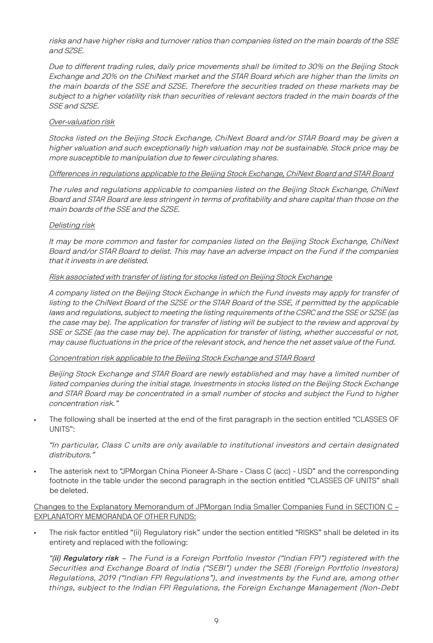risks and have higher risks and turnover ratios than companies listed on the main boards of the SSE and SZSE.

Due to different trading rules, daily price movements shall be limited to 30% on the Beijing Stock Exchange and 20% on the ChiNext market and the STAR Board which are higher than the limits on the main boards of the SSE and SZSE. Therefore the securities traded on these markets may be subject to a higher volatility risk than securities of relevant sectors traded in the main boards of the SSE and SZSE.

#### Over-valuation risk

Stocks listed on the Beijing Stock Exchange, ChiNext Board and/or STAR Board may be given a higher valuation and such exceptionally high valuation may not be sustainable. Stock price may be more susceptible to manipulation due to fewer circulating shares.

#### Differences in regulations applicable to the Beijing Stock Exchange, ChiNext Board and STAR Board

The rules and regulations applicable to companies listed on the Beijing Stock Exchange, ChiNext Board and STAR Board are less stringent in terms of profitability and share capital than those on the main boards of the SSE and the SZSE.

#### Delisting risk

It may be more common and faster for companies listed on the Beijing Stock Exchange, ChiNext Board and/or STAR Board to delist. This may have an adverse impact on the Fund if the companies that it invests in are delisted.

#### Risk associated with transfer of listing for stocks listed on Beijing Stock Exchange

A company listed on the Beijing Stock Exchange in which the Fund invests may apply for transfer of listing to the ChiNext Board of the SZSE or the STAR Board of the SSE, if permitted by the applicable laws and regulations, subject to meeting the listing requirements of the CSRC and the SSE or SZSE (as the case may be). The application for transfer of listing will be subject to the review and approval by SSE or SZSE (as the case may be). The application for transfer of listing, whether successful or not, may cause fluctuations in the price of the relevant stock, and hence the net asset value of the Fund.

#### Concentration risk applicable to the Beijing Stock Exchange and STAR Board

Beijing Stock Exchange and STAR Board are newly established and may have a limited number of listed companies during the initial stage. Investments in stocks listed on the Beijing Stock Exchange and STAR Board may be concentrated in a small number of stocks and subject the Fund to higher concentration risk."

• The following shall be inserted at the end of the first paragraph in the section entitled "CLASSES OF UNITS":

"In particular, Class C units are only available to institutional investors and certain designated distributors."

• The asterisk next to "JPMorgan China Pioneer A-Share - Class C (acc) - USD" and the corresponding footnote in the table under the second paragraph in the section entitled "CLASSES OF UNITS" shall be deleted.

#### Changes to the Explanatory Memorandum of JPMorgan India Smaller Companies Fund in SECTION C – EXPLANATORY MEMORANDA OF OTHER FUNDS:

The risk factor entitled "(ii) Regulatory risk" under the section entitled "RISKS" shall be deleted in its entirety and replaced with the following:

"(ii) Regulatory risk – The Fund is a Foreign Portfolio Investor ("Indian FPI") registered with the Securities and Exchange Board of India ("SEBI") under the SEBI (Foreign Portfolio Investors) Regulations, 2019 ("Indian FPI Regulations"), and investments by the Fund are, among other things, subject to the Indian FPI Regulations, the Foreign Exchange Management (Non-Debt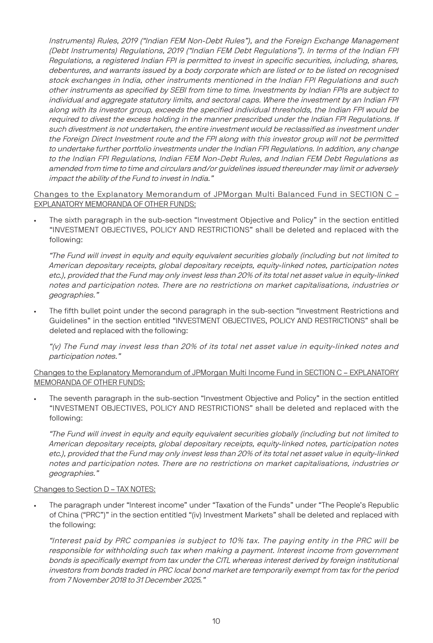Instruments) Rules, 2019 ("Indian FEM Non-Debt Rules"), and the Foreign Exchange Management (Debt Instruments) Regulations, 2019 ("Indian FEM Debt Regulations"). In terms of the Indian FPI Regulations, a registered Indian FPI is permitted to invest in specific securities, including, shares, debentures, and warrants issued by a body corporate which are listed or to be listed on recognised stock exchanges in India, other instruments mentioned in the Indian FPI Regulations and such other instruments as specified by SEBI from time to time. Investments by Indian FPIs are subject to individual and aggregate statutory limits, and sectoral caps. Where the investment by an Indian FPI along with its investor group, exceeds the specified individual thresholds, the Indian FPI would be required to divest the excess holding in the manner prescribed under the Indian FPI Requlations. If such divestment is not undertaken, the entire investment would be reclassified as investment under the Foreign Direct Investment route and the FPI along with this investor group will not be permitted to undertake further portfolio investments under the Indian FPI Regulations. In addition, any change to the Indian FPI Regulations, Indian FEM Non-Debt Rules, and Indian FEM Debt Regulations as amended from time to time and circulars and/or guidelines issued thereunder may limit or adversely impact the ability of the Fund to invest in India."

#### Changes to the Explanatory Memorandum of JPMorgan Multi Balanced Fund in SECTION C – EXPLANATORY MEMORANDA OF OTHER FUNDS:

• The sixth paragraph in the sub-section "Investment Objective and Policy" in the section entitled "INVESTMENT OBJECTIVES, POLICY AND RESTRICTIONS" shall be deleted and replaced with the following:

"The Fund will invest in equity and equity equivalent securities globally (including but not limited to American depositary receipts, global depositary receipts, equity-linked notes, participation notes etc.), provided that the Fund may only invest less than 20% of its total net asset value in equity-linked notes and participation notes. There are no restrictions on market capitalisations, industries or geographies."

The fifth bullet point under the second paragraph in the sub-section "Investment Restrictions and Guidelines" in the section entitled "INVESTMENT OBJECTIVES, POLICY AND RESTRICTIONS" shall be deleted and replaced with the following:

"(v) The Fund may invest less than 20% of its total net asset value in equity-linked notes and participation notes."

#### Changes to the Explanatory Memorandum of JPMorgan Multi Income Fund in SECTION C – EXPLANATORY MEMORANDA OF OTHER FUNDS:

• The seventh paragraph in the sub-section "Investment Objective and Policy" in the section entitled "INVESTMENT OBJECTIVES, POLICY AND RESTRICTIONS" shall be deleted and replaced with the following:

"The Fund will invest in equity and equity equivalent securities globally (including but not limited to American depositary receipts, global depositary receipts, equity-linked notes, participation notes etc.), provided that the Fund may only invest less than 20% of its total net asset value in equity-linked notes and participation notes. There are no restrictions on market capitalisations, industries or geographies."

#### Changes to Section D – TAX NOTES:

• The paragraph under "Interest income" under "Taxation of the Funds" under "The People's Republic of China ("PRC")" in the section entitled "(iv) Investment Markets" shall be deleted and replaced with the following:

"Interest paid by PRC companies is subject to 10% tax. The paying entity in the PRC will be responsible for withholding such tax when making a payment. Interest income from government bonds is specifically exempt from tax under the CITL whereas interest derived by foreign institutional investors from bonds traded in PRC local bond market are temporarily exempt from tax for the period from 7 November 2018 to 31 December 2025."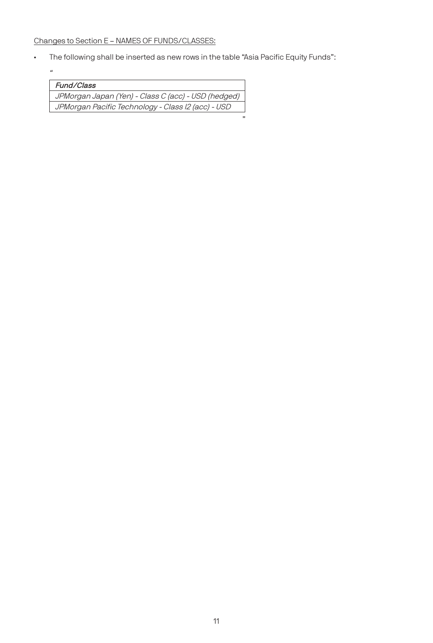Changes to Section E – NAMES OF FUNDS/CLASSES:

"

• The following shall be inserted as new rows in the table "Asia Pacific Equity Funds":

| Fund/Class                                          |
|-----------------------------------------------------|
| JPMorgan Japan (Yen) - Class C (acc) - USD (hedged) |
| JPMorgan Pacific Technology - Class I2 (acc) - USD  |
|                                                     |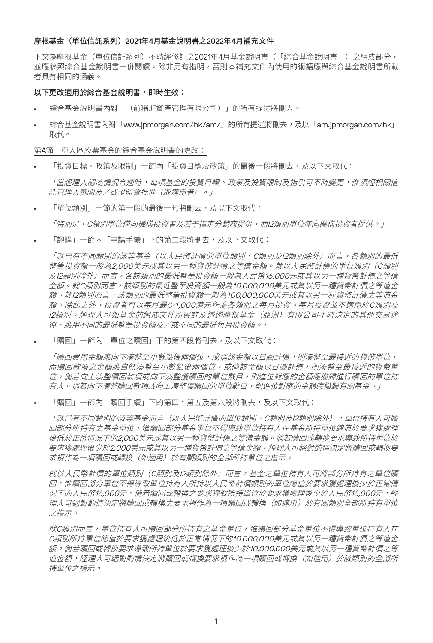#### 摩根基金(單位信託系列)2021年4月基金說明書之2022年4月補充文件

下文為摩根基金(單位信託系列)不時經修訂之2021年4月基金說明書(「綜合基金說明書」)之組成部分, 並應參照綜合基金說明書一併閱讀。除非另有指明,否則本補充文件內使用的術語應與綜合基金說明書所載 者具有相同的涵義。

#### 以下更改適用於綜合基金說明書,即時生效:

- 綜合基金說明書內對「(前稱JF資產管理有限公司)」的所有提述將刪去。
- 綜合基金說明書內對「www.jpmorgan.com/hk/am/」的所有提述將刪去,及以「am.jpmorgan.com/hk」 取代。

第A節-亞太區股票基金的綜合基金說明書的更改:

• 「投資目標、政策及限制」一節內「投資目標及政策」的最後一段將刪去,及以下文取代:

「當經理人認為情況合適時,每項基金的投資目標、政策及投資限制及指引可不時變更,惟須經相關信 託管理人審閱及/或證監會批准(取適用者)。」

• 「單位類別」一節的第一段的最後一句將刪去,及以下文取代:

「特別是, C類別單位僅向機構投資者及若干指定分銷商提供, 而I2類別單位僅向機構投資者提供。」

• 「認購」一節內「申請手續」下的第二段將刪去,及以下文取代:

「就已有不同類別的該等基金(以人民幣計價的單位類別、C類別及I2類別除外)而言,各類別的最低 整筆投資額一般為2,000美元或其以另一種貨幣計價之等值金額。就以人民幣計價的單位類別(C類別 及I2類別除外)而言,各該類別的最低整筆投資額一般為人民幣16,000元或其以另一種貨幣計價之等值 金額。就C類別而言,該類別的最低整筆投資額一般為10,000,000美元或其以另一種貨幣計價之等值金 額。就I2類別而言,該類別的最低整筆投資額一般為100,000,000美元或其以另一種貨幣計價之等值金 額。除此之外,投資者可以每月最少1,000港元作為各類別之每月投資。每月投資並不適用於C類別及 I2類別。經理人可如基金的組成文件所容許及透過摩根基金(亞洲)有限公司不時決定的其他交易途 徑,應用不同的最低整筆投資額及/或不同的最低每月投資額。」

• 「贖回」一節內「單位之贖回」下的第四段將刪去,及以下文取代:

「贖回費用金額應向下湊整至小數點後兩個位,或倘該金額以日圓計價,則湊整至最接近的貨幣單位, 而贖回款項之金額應自然湊整至小數點後兩個位,或倘該金額以日圓計價,則湊整至最接近的貨幣單 位。倘若向上湊整贖回款項或向下湊整獲贖回的單位數目,則進位對應的金額應撥歸進行贖回的單位持 有人。倘若向下湊整贖回款項或向上湊整獲贖回的單位數目,則進位對應的金額應撥歸有關基金。」

• 「贖回」一節內「贖回手續」下的第四、第五及第六段將刪去,及以下文取代:

「就已有不同類別的該等基金而言(以人民幣計價的單位類別、C類別及I2類別除外),單位持有人可贖 回部分所持有之基金單位,惟贖回部分基金單位不得導致單位持有人在基金所持單位總值於要求獲處理 後低於正常情況下的2,000美元或其以另一種貨幣計價之等值金額。倘若贖回或轉換要求導致所持單位於 要求獲處理後少於2,000美元或其以另一種貨幣計價之等值金額,經理人可絕對酌情決定將贖回或轉換要 求視作為一項贖回或轉換(如適用)於有關類別的全部所持單位之指示。

就以人民幣計價的單位類別(C類別及I2類別除外)而言,基金之單位持有人可將部分所持有之單位贖 回,惟贖回部分單位不得導致單位持有人所持以人民幣計價類別的單位總值於要求獲處理後少於正常情 況下的人民幣16,000元。倘若贖回或轉換之要求導致所持單位於要求獲處理後少於人民幣16,000元,經 理人可絕對酌情決定將贖回或轉換之要求視作為一項贖回或轉換(如適用)於有關類別全部所持有單位 之指示。

就C類別而言,單位持有人可贖回部分所持有之基金單位,惟贖回部分基金單位不得導致單位持有人在 C類別所持單位總值於要求獲處理後低於正常情況下的10,000,000美元或其以另一種貨幣計價之等值金 額。倘若贖回或轉換要求導致所持單位於要求獲處理後少於10,000,000美元或其以另一種貨幣計價之等 值金額,經理人可絕對酌情決定將贖回或轉換要求視作為一項贖回或轉換(如適用)於該類別的全部所 持單位之指示。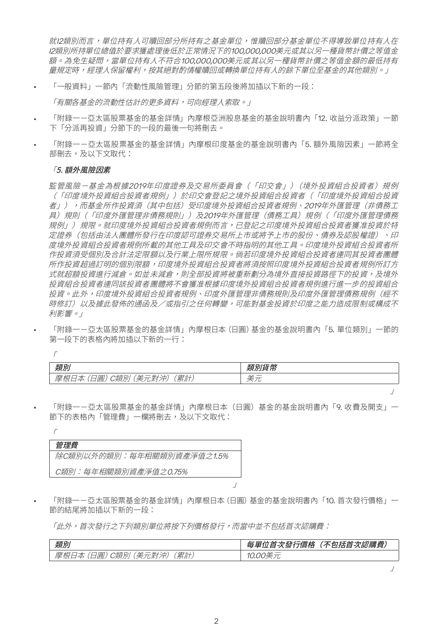就I2類別而言,單位持有人可贖回部分所持有之基金單位,惟贖回部分基金單位不得導致單位持有人在 I2類別所持單位總值於要求獲處理後低於正常情況下的100,000,000美元或其以另一種貨幣計價之等值金 額。為免生疑問,當單位持有人不符合100,000,000美元或其以另一種貨幣計價之等值金額的最低持有 量規定時,經理人保留權利,按其絕對酌情權贖回或轉換單位持有人的餘下單位至基金的其他類別。」

• 「一般資料」一節內「流動性風險管理」分節的第五段後將加插以下新的一段:

「有關各基金的流動性估計的更多資料,可向經理人索取。」

- 「附錄——亞太區股票基金的基金詳情」內摩根亞洲股息基金的基金說明書內「12. 收益分派政策」—節 下「分派再投資」分節下的一段的最後一句將刪去。
- 「附錄——亞太區股票基金的基金詳情」內摩根印度基金的基金說明書內「5. 額外風險因素」—節將全 部刪去,及以下文取代:

#### 「5. 額外風險因素

 $\sqrt{ }$ 

監管風險-基金為根據2019年印度證券及交易所委員會(「印交會」)(境外投資組合投資者)規例 (「印度境外投資組合投資者規例」)於印交會登記之境外投資組合投資者(「印度境外投資組合投資 者」),而基金所作投資須(其中包括)受印度境外投資組合投資者規例、2019年外匯管理(非債務工 具)規則(「印度外匯管理非債務規則」)及2019年外匯管理(債務工具)規例(「印度外匯管理債務 規例」)規限。就印度境外投資組合投資者規例而言,已登記之印度境外投資組合投資者獲准投資於特 定證券(包括由法人團體所發行在印度認可證券交易所上市或將予上市的股份、債券及認股權證)、印 度境外投資組合投資者規例所載的其他工具及印交會不時指明的其他工具。印度境外投資組合投資者所 作投資須受個別及合計法定限額以及行業上限所規限。倘若印度境外投資組合投資者連同其投資者團體 所作投資超過訂明的個別限額,印度境外投資組合投資者將須按照印度境外投資組合投資者規例所訂方 式就超額投資推行減倉。如並未減倉,則全部投資將被重新劃分為境外直接投資路徑下的投資,及境外 投資組合投資者連同該投資者團體將不會獲准根據印度境外投資組合投資者規例進行進一步的投資組合 投資。此外,印度境外投資組合投資者規例、印度外匯管理非債務規則及印度外匯管理債務規例(經不 時修訂)以及據此發佈的通函及/或指引之任何轉變,可能對基金投資於印度之能力造成限制或構成不 利影響。」

• 「附錄一-亞太區股票基金的基金詳情」內摩根日本(日圓)基金的基金說明書內「5. 單位類別」一節的 第一段下的表格內將加插以下新的一行:

| 术百口"                                                                           | $2 - 32$<br>ᇀ |
|--------------------------------------------------------------------------------|---------------|
| 累計<br>।⊂<br>术户<br>后<br>$\sqrt{ }$<br>--<br><br><b>SOLU</b><br>$-1$<br>ີ<br>. . | ۔             |

「附錄——亞太區股票基金的基金詳情」內摩根日本(日圓)基金的基金說明書內「9. 收費及開支」— 節下的表格內「管理費」一欄將刪去,及以下文取代:

| 管理費                       |
|---------------------------|
| 除C類別以外的類別:每年相關類別資產淨值之1.5% |
| C類別:每年相關類別資產淨值之0.75%      |
|                           |

• 「附錄一-亞太區股票基金的基金詳情」內摩根日本(日圓)基金的基金說明書內「10. 首次發行價格」一 節的結尾將加插以下新的一段:

」

「此外,首次發行之下列類別單位將按下列價格發行,而當中並不包括首次認購費:

| 類別                                         | <i>、認購費」</i><br>$17 - 16$<br>ユーート・マン・ペー<br>(不包括首次<br>,次發行價格<br>丑<br>$H^{\prime}$<br>自 |
|--------------------------------------------|---------------------------------------------------------------------------------------|
| 累計<br>. 美元對<br>'Al.<br>日圓<br>澳<br>$\Delta$ |                                                                                       |

」

」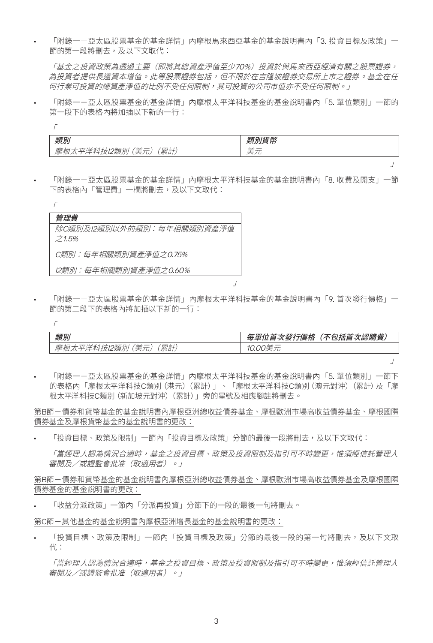• 「附錄一-亞太區股票基金的基金詳情」內摩根馬來西亞基金的基金說明書內「3. 投資目標及政策」一 節的第一段將刪去,及以下文取代:

「基金之投資政策為透明主要(即將其總資產淨值至少70%)投資於與馬來西亞經濟有關之股票證券, 為投資者提供長遠資本增值。此等股票證券包括,但不限於在吉隆坡證券交易所上市之證券。基金在任 何行業可投資的總資產淨值的比例不受任何限制,其可投資的公司市值亦不受任何限制。」

「附錄一一亞太區股票基金的基金詳情」內摩根太平洋科技基金的基金說明書內「5. 單位類別」一節的 第一段下的表格內將加插以下新的一行:

| <b>米百</b> 도             | $2 - 32$<br>_ |
|-------------------------|---------------|
| 累計<br>_<br>±<br>υ.<br>╮ | ۔             |

「附錄——亞太區股票基金的基金詳情」內摩根太平洋科技基金的基金說明書內「8. 收費及開支」一節 下的表格內「管理費」一欄將刪去,及以下文取代:

| 管理費                                |  |
|------------------------------------|--|
| 除C類別及I2類別以外的類別:每年相關類別資產淨值<br>71.5% |  |
| C類別:每年相關類別資產淨值之0.75%               |  |
| 12類別:每年相關類別資產淨值之0.60%              |  |

 $\sqrt{ }$ 

「附錄——亞太區股票基金的基金詳情」內摩根太平洋科技基金的基金說明書內「9. 首次發行價格」— 節的第二段下的表格內將加插以下新的一行:

」

| 類別                     | 每單位首次發行價格<br><sup>:</sup> (不包括首次認購費) |
|------------------------|--------------------------------------|
| 累計<br>摩根太平洋科技I2類別 (美元) | 10.00美元                              |

」

」

「附錄——亞太區股票基金的基金詳情」內摩根太平洋科技基金的基金說明書內「5. 單位類別」一節下 的表格內「摩根太平洋科技C類別(港元)(累計)」、「摩根太平洋科技C類別(澳元對沖)(累計)及「摩 根太平洋科技C類別(新加坡元對沖)(累計)」旁的星號及相應腳註將刪去。

第B節-債券和貨幣基金的基金說明書內摩根亞洲總收益債券基金、摩根歐洲市場高收益債券基金、摩根國際 債券基金及摩根貨幣基金的基金說明書的更改:

「投資目標、政策及限制」一節內「投資目標及政策」分節的最後一段將刪去,及以下文取代:

「當經理人認為情況合適時,基金之投資目標、政策及投資限制及指引可不時變更,惟須經信託管理人 審閱及/或證監會批准(取適用者)。」

第B節-債券和貨幣基金的基金說明書內摩根亞洲總收益債券基金、摩根歐洲市場高收益債券基金及摩根國際 債券基金的基金說明書的更改:

• 「收益分派政策」一節內「分派再投資」分節下的一段的最後一句將刪去。

第C節-其他基金的基金說明書內摩根亞洲增長基金的基金說明書的更改:

「投資目標、政策及限制」一節內「投資目標及政策」分節的最後一段的第一句將刪去,及以下文取 代:

「當經理人認為情況合適時,基金之投資目標、政策及投資限制及指引可不時變更,惟須經信託管理人 審閱及/或證監會批准(取適用者)。」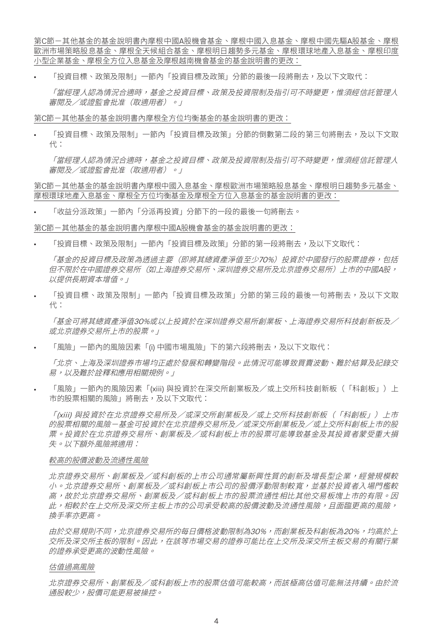第C節-其他基金的基金說明書內摩根中國A股機會基金、摩根中國入息基金、摩根中國先驅A股基金、摩根 歐洲市場策略股息基金、摩根全天候組合基金、摩根明日趨勢多元基金、摩根環球地產入息基金、摩根印度 小型企業基金、摩根全方位入息基金及摩根越南機會基金的基金說明書的更改:

「投資目標、政策及限制」一節內「投資目標及政策」分節的最後一段將刪去,及以下文取代:

「當經理人認為情況合適時,基金之投資目標、政策及投資限制及指引可不時變更,惟須經信託管理人 審閱及/或證監會批准(取適用者)。」

第C節-其他基金的基金說明書內摩根全方位均衡基金的基金說明書的更改:

「投資目標、政策及限制」一節內「投資目標及政策」分節的倒數第二段的第三句將刪去,及以下文取 代:

「當經理人認為情況合適時,基金之投資目標、政策及投資限制及指引可不時變更,惟須經信託管理人 審閱及/或證監會批准(取適用者)。」

第C節-其他基金的基金說明書內摩根中國入息基金、摩根歐洲市場策略股息基金、摩根明日趨勢多元基金、 摩根環球地產入息基金、摩根全方位均衡基金及摩根全方位入息基金的基金說明書的更改:

• 「收益分派政策」一節內「分派再投資」分節下的一段的最後一句將刪去。

#### 第C節-其他基金的基金說明書內摩根中國A股機會基金的基金說明書的更改:

「投資目標、政策及限制」一節內「投資目標及政策」分節的第一段將刪去,及以下文取代:

「基金的投資目標及政策為透過主要(即將其總資產淨值至少70%)投資於中國發行的股票證券,包括 但不限於在中國證券交易所(如上海證券交易所、深圳證券交易所及北京證券交易所)上市的中國A股, 以提供長期資本增值。」

「投資目標、政策及限制」一節內「投資目標及政策」分節的第三段的最後一句將刪去,及以下文取 代:

「基金可將其總資產淨值30%或以上投資於在深圳證券交易所創業板、上海證券交易所科技創新板及/ 或北京證券交易所上市的股票。」

• 「風險」一節內的風險因素「(i) 中國市場風險」下的第六段將刪去,及以下文取代:

「北京、上海及深圳證券市場均正處於發展和轉變階段。此情況可能導致買賣波動、難於結算及記錄交 易,以及難於詮釋和應用相關規例。」

「風險」一節內的風險因素「(xiii) 與投資於在深交所創業板及/或上交所科技創新板(「科創板」)上 市的股票相關的風險」將刪去,及以下文取代:

「(xiii) 與投資於在北京證券交易所及/或深交所創業板及/或上交所科技創新板(「科創板」)上市 的股票相關的風險-基金可投資於在北京證券交易所及/或深交所創業板及/或上交所科創板上市的股 票。投資於在北京證券交易所、創業板及/或科創板上市的股票可能導致基金及其投資者蒙受重大損 失。以下額外風險將適用:

#### 較高的股價波動及流通性風險

北京證券交易所、創業板及/或科創板的上市公司通常屬新興性質的創新及增長型企業,經營規模較 小。北京證券交易所、創業板及/或科創板上市公司的股價浮動限制較實,並基於投資者入場門檻較 高,故於北京證券交易所、創業板及/或科創板上市的股票流通性相比其他交易板塊上市的有限。因 此,相較於在上交所及深交所主板上市的公司承受較高的股價波動及流通性風險,且面臨更高的風險, 換手率亦更高。

由於交易規則不同,北京證券交易所的每日價格波動限制為30%,而創業板及科創板為20%,均高於上 交所及深交所主板的限制。因此,在該等市場交易的證券可能比在上交所及深交所主板交易的有關行業 的證券承受更高的波動性風險。

#### 估值過高風險

北京證券交易所、創業板及/或科創板上市的股票估值可能較高,而該極高估值可能無法持續。由於流 通股較少,股價可能更易被操控。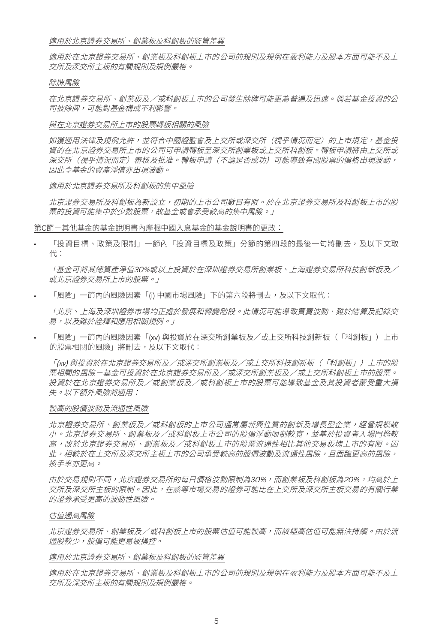#### 適用於北京證券交易所、創業板及科創板的監管差異

適用於在北京證券交易所、創業板及科創板上市的公司的規則及規例在盈利能力及股本方面可能不及上 交所及深交所主板的有關規則及規例嚴格。

#### 除牌風險

在北京證券交易所、創業板及/或科創板上市的公司發生除牌可能更為普遍及迅速。倘若基金投資的公 司被除牌,可能對基金構成不利影響。

#### 與在北京證券交易所上市的股票轉板相關的風險

如獲適用法律及規例允許,並符合中國證監會及上交所或深交所(視乎情況而定)的上市規定,基金投 資的在北京證券交易所上市的公司可申請轉板至深交所創業板或上交所科創板。轉板申請將由上交所或 深交所(視乎情況而定)審核及批准。轉板申請(不論是否成功)可能導致有關股票的價格出現波動, 因此令基金的資產淨值亦出現波動。

#### 適用於北京證券交易所及科創板的集中風險

北京證券交易所及科創板為新設立,初期的上市公司數目有限。於在北京證券交易所及科創板上市的股 票的投資可能集中於少數股票,故基金或會承受較高的集中風險。」

#### 第C節-其他基金的基金說明書內摩根中國入息基金的基金說明書的更改:

「投資目標、政策及限制」一節內「投資目標及政策」分節的第四段的最後一句將刪去,及以下文取 代:

「基金可將其總資產淨值30%或以上投資於在深圳證券交易所創業板、上海證券交易所科技創新板及/ 或北京證券交易所上市的股票。」

• 「風險」一節內的風險因素「(i) 中國市場風險」下的第六段將刪去,及以下文取代:

「北京、上海及深圳證券市場均正處於發展和轉變階段。此情況可能導致買賣波動、難於結算及記錄交 易,以及難於詮釋和應用相關規例。」

• 「風險」一節內的風險因素「(xv) 與投資於在深交所創業板及/或上交所科技創新板(「科創板」)上市 的股票相關的風險」將刪去,及以下文取代:

「(xv) 與投資於在北京證券交易所及/或深交所創業板及/或上交所科技創新板(「科創板」)上市的股 票相關的風險-基金可投資於在北京證券交易所及/或深交所創業板及/或上交所科創板上市的股票。 投資於在北京證券交易所及/或創業板及/或科創板上市的股票可能導致基金及其投資者蒙受重大損 失。以下額外風險將適用:

#### 較高的股價波動及流通性風險

北京證券交易所、創業板及/或科創板的上市公司通常屬新興性質的創新及增長型企業,經營規模較 小。北京證券交易所、創業板及/或科創板上市公司的股價浮動限制較實,並基於投資者入場門檻較 高,故於北京證券交易所、創業板及/或科創板上市的股票流通性相比其他交易板塊上市的有限。因 此,相較於在上交所及深交所主板上市的公司承受較高的股價波動及流通性風險,且面臨更高的風險, 換手率亦更高。

由於交易規則不同,北京證券交易所的每日價格波動限制為30%,而創業板及科創板為20%,均高於上 交所及深交所主板的限制。因此,在該等市場交易的證券可能比在上交所及深交所主板交易的有關行業 的證券承受更高的波動性風險。

#### 估值過高風險

北京證券交易所、創業板及/或科創板上市的股票估值可能較高,而該極高估值可能無法持續。由於流 通股較少,股價可能更易被操控。

#### 適用於北京證券交易所、創業板及科創板的監管差異

適用於在北京證券交易所、創業板及科創板上市的公司的規則及規例在盈利能力及股本方面可能不及上 交所及深交所主板的有關規則及規例嚴格。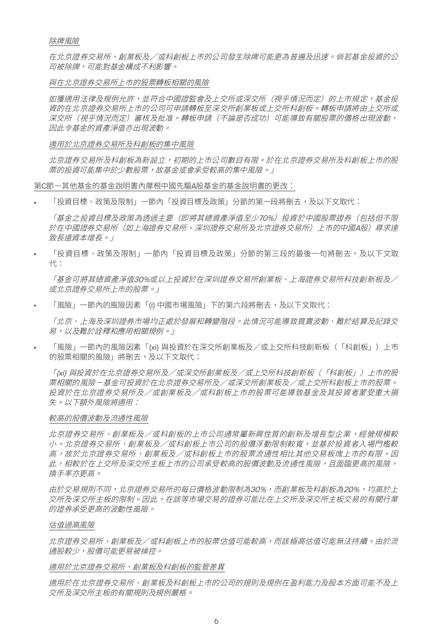除牌風險

在北京證券交易所、創業板及/或科創板上市的公司發生除牌可能更為普遍及迅速。倘若基金投資的公 司被除牌,可能對基金構成不利影響。

與在北京證券交易所上市的股票轉板相關的風險

如獲適用法律及規例允許,並符合中國證監會及上交所或深交所(視乎情況而定)的上市規定,基金投 資的在北京證券交易所上市的公司可申請轉板至深交所創業板或上交所科創板。轉板申請將由上交所或 深交所(視乎情況而定)審核及批准。轉板申請(不論是否成功)可能導致有關股票的價格出現波動, 因此令基金的資產淨值亦出現波動。

適用於北京證券交易所及科創板的集中風險

北京證券交易所及科創板為新設立,初期的上市公司數目有限。於在北京證券交易所及科創板上市的股 票的投資可能集中於少數股票,故基金或會承受較高的集中風險。」

第C節-其他基金的基金說明書內摩根中國先驅A股基金的基金說明書的更改:

「投資目標、政策及限制」一節內「投資目標及政策」分節的第一段將刪去,及以下文取代:

「基金之投資目標及政策為透過主要(即將其總資產淨值至少70%)投資於中國股票證券(包括但不限 於在中國證券交易所(如上海證券交易所、深圳證券交易所及北京證券交易所)上市的中國A股)尋求達 致長遠資本增長。」

「投資目標、政策及限制」一節內「投資目標及政策」分節的第三段的最後一句將刪去,及以下文取 代:

「基金可將其總資產淨值30%或以上投資於在深圳證券交易所創業板、上海證券交易所科技創新板及/ 或北京證券交易所上市的股票。」

• 「風險」一節內的風險因素「(i) 中國市場風險」下的第六段將刪去,及以下文取代:

「北京、上海及深圳證券市場均正處於發展和轉變階段。此情況可能導致買賣波動、難於結算及記錄交 易,以及難於詮釋和應用相關規例。」

• 「風險」一節內的風險因素「(xi) 與投資於在深交所創業板及/或上交所科技創新板(「科創板」)上市 的股票相關的風險」將刪去,及以下文取代:

「(xi) 與投資於在北京證券交易所及/或深交所創業板及/或上交所科技創新板(「科創板」)上市的股 票相關的風險-基金可投資於在北京證券交易所及/或深交所創業板及/或上交所科創板上市的股票。 投資於在北京證券交易所及/或創業板及/或科創板上市的股票可能導致基金及其投資者蒙受重大損 失。以下額外風險將適用:

#### 較高的股價波動及流通性風險

北京證券交易所、創業板及/或科創板的上市公司通常屬新興性質的創新及增長型企業,經營規模較 小。北京證券交易所、創業板及/或科創板上市公司的股價浮動限制較實,並基於投資者入場門檻較 高,故於北京證券交易所、創業板及/或科創板上市的股票流通性相比其他交易板塊上市的有限。因 此,相較於在上交所及深交所主板上市的公司承受較高的股價波動及流通性風險,且面臨更高的風險, 換手率亦更高。

由於交易規則不同,北京證券交易所的每日價格波動限制為30%,而創業板及科創板為20%,均高於上 交所及深交所主板的限制。因此,在該等市場交易的證券可能比在上交所及深交所主板交易的有關行業 的證券承受更高的波動性風險。

#### 估值過高風險

北京證券交易所、創業板及/或科創板上市的股票估值可能較高,而該極高估值可能無法持續。由於流 通股較少,股價可能更易被操控。

#### 適用於北京證券交易所、創業板及科創板的監管差異

適用於在北京證券交易所、創業板及科創板上市的公司的規則及規例在盈利能力及股本方面可能不及上 交所及深交所主板的有關規則及規例嚴格。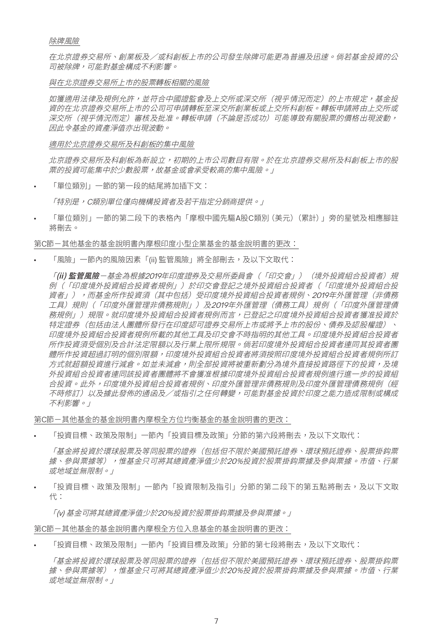除牌風險

在北京證券交易所、創業板及/或科創板上市的公司發生除牌可能更為普遍及迅速。倘若基金投資的公 司被除牌,可能對基金構成不利影響。

與在北京證券交易所上市的股票轉板相關的風險

如獲適用法律及規例允許,並符合中國證監會及上交所或深交所(視乎情況而定)的上市規定,基金投 資的在北京證券交易所上市的公司可申請轉板至深交所創業板或上交所科創板。轉板申請將由上交所或 深交所(視乎情況而定)審核及批准。轉板申請(不論是否成功)可能導致有關股票的價格出現波動, 因此令基金的資產淨值亦出現波動。

適用於北京證券交易所及科創板的集中風險

北京證券交易所及科創板為新設立,初期的上市公司數目有限。於在北京證券交易所及科創板上市的股 票的投資可能集中於少數股票,故基金或會承受較高的集中風險。」

• 「單位類別」一節的第一段的結尾將加插下文:

「特別是, C類別單位僅向機構投資者及若干指定分銷商提供。」

• 「單位類別」一節的第二段下的表格內「摩根中國先驅A股C類別(美元)(累計)」旁的星號及相應腳註 將刪去。

第C節-其他基金的基金說明書內摩根印度小型企業基金的基金說明書的更改:

• 「風險」一節內的風險因素「(ii) 監管風險」將全部刪去,及以下文取代:

「(ii) 監管風險-基金為根據2019年印度證券及交易所委員會 (「印交會」) (境外投資組合投資者) 規 例(「印度境外投資組合投資者規例」)於印交會登記之境外投資組合投資者(「印度境外投資組合投 資者」),而基金所作投資須(其中包括)受印度境外投資組合投資者規例、2019年外匯管理(非債務 工具)規則(「印度外匯管理非債務規則」)及2019年外匯管理(債務工具)規例(「印度外匯管理債 務規例」)規限。就印度境外投資組合投資者規例而言,已登記之印度境外投資組合投資者獲准投資於 特定證券(包括由法人團體所發行在印度認可證券交易所上市或將予上市的股份、債券及認股權證)、 印度境外投資組合投資者規例所載的其他工具及印交會不時指明的其他工具。印度境外投資組合投資者 所作投資須受個別及合計法定限額以及行業上限所規限。倘若印度境外投資組合投資者連同其投資者團 體所作投資超過訂明的個別限額,印度境外投資組合投資者將須按照印度境外投資組合投資者規例所訂 方式就超額投資推行減倉。如並未減倉,則全部投資將被重新劃分為境外直接投資路徑下的投資,及境 外投資組合投資者連同該投資者團體將不會獲准根據印度境外投資組合投資者規例進行進一步的投資組 合投資。此外,印度境外投資組合投資者規例、印度外匯管理非債務規則及印度外匯管理債務規例(經 不時修訂)以及據此發佈的通函及ノ或指引之任何轉變,可能對基金投資於印度之能力造成限制或構成 不利影響。」

第C節-其他基金的基金說明書內摩根全方位均衡基金的基金說明書的更改:

「投資目標、政策及限制」一節內「投資目標及政策」分節的第六段將刪去,及以下文取代:

「基金將投資於環球股票及等同股票的證券(包括但不限於美國預託證券、環球預託證券、股票掛鈎票 據、參與票據等),惟基金只可將其總資產淨值少於20%投資於股票掛鈎票據及參與票據。市值、行業 或地域並無限制。」

「投資目標、政策及限制」一節內「投資限制及指引」分節的第二段下的第五點將刪去,及以下文取 代:

「(v) 基金可將其總資產淨值少於20%投資於股票掛鈎票據及參與票據。」

第C節-其他基金的基金說明書內摩根全方位入息基金的基金說明書的更改:

「投資目標、政策及限制」一節內「投資目標及政策」分節的第七段將刪去,及以下文取代:

「基金將投資於環球股票及等同股票的證券(包括但不限於美國預託證券、環球預託證券、股票掛鈎票 據、參與票據等),惟基金只可將其總資產淨值少於20%投資於股票掛鈎票據及參與票據。市值、行業 或地域並無限制。」